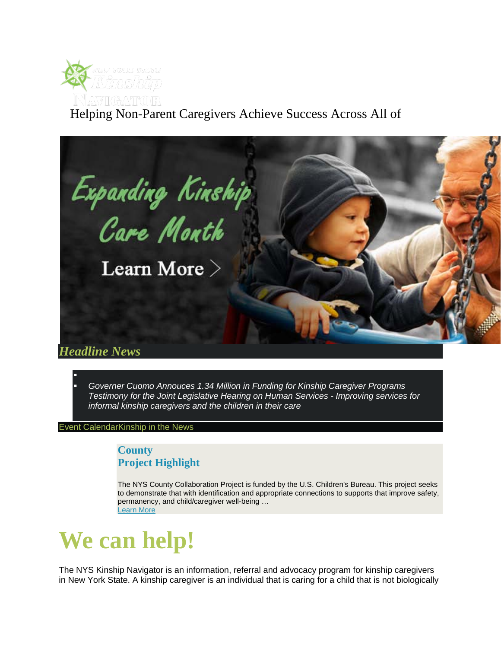

## Helping Non-Parent Caregivers Achieve Success Across All of



 *[Governer Cuomo Annouces 1.34 Million in Funding for Kinship Caregiver Programs](https://www.governor.ny.gov/news/governor-cuomo-announces-134-million-funding-kinship-caregiver-programs)  [Testimony for the Joint Legislative Hearing on Human Services -](http://www.nysnavigator.org/documents/KinshipNavigatorTestimonyFeb4.pdf) Improving services for [informal kinship caregivers and the children in their care](http://www.nysnavigator.org/documents/KinshipNavigatorTestimonyFeb4.pdf)* 

[Event CalendarKinship in the News](http://www.nysnavigator.org/pg/event-calendar/)

F

## **County Project Highlight**

The NYS County Collaboration Project is funded by the U.S. Children's Bureau. This project seeks to demonstrate that with identification and appropriate connections to supports that improve safety, permanency, and child/caregiver well-being … [Learn More](http://www.nysnavigator.org/pg/about/county.php)

## **We can help!**

The NYS Kinship Navigator is an information, referral and advocacy program for kinship caregivers in New York State. A kinship caregiver is an individual that is caring for a child that is not biologically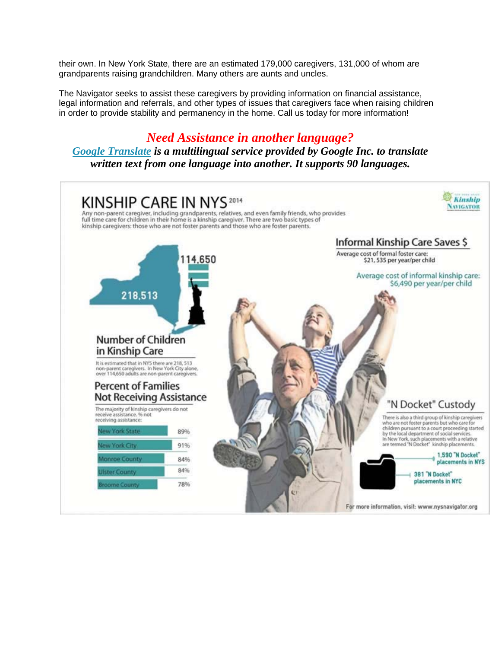their own. In New York State, there are an estimated 179,000 caregivers, 131,000 of whom are grandparents raising grandchildren. Many others are aunts and uncles.

The Navigator seeks to assist these caregivers by providing information on financial assistance, legal information and referrals, and other types of issues that caregivers face when raising children in order to provide stability and permanency in the home. Call us today for more information!

## *Need Assistance in another language?*

*[Google Translate](http://en.wikipedia.org/wiki/Google_Translate) is a multilingual service provided by Google Inc. to translate written text from one language into another. It supports 90 languages.*